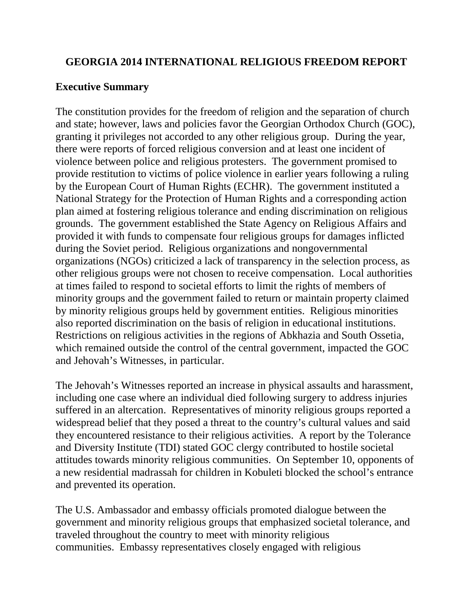#### **GEORGIA 2014 INTERNATIONAL RELIGIOUS FREEDOM REPORT**

#### **Executive Summary**

The constitution provides for the freedom of religion and the separation of church and state; however, laws and policies favor the Georgian Orthodox Church (GOC), granting it privileges not accorded to any other religious group. During the year, there were reports of forced religious conversion and at least one incident of violence between police and religious protesters. The government promised to provide restitution to victims of police violence in earlier years following a ruling by the European Court of Human Rights (ECHR). The government instituted a National Strategy for the Protection of Human Rights and a corresponding action plan aimed at fostering religious tolerance and ending discrimination on religious grounds. The government established the State Agency on Religious Affairs and provided it with funds to compensate four religious groups for damages inflicted during the Soviet period. Religious organizations and nongovernmental organizations (NGOs) criticized a lack of transparency in the selection process, as other religious groups were not chosen to receive compensation. Local authorities at times failed to respond to societal efforts to limit the rights of members of minority groups and the government failed to return or maintain property claimed by minority religious groups held by government entities. Religious minorities also reported discrimination on the basis of religion in educational institutions. Restrictions on religious activities in the regions of Abkhazia and South Ossetia, which remained outside the control of the central government, impacted the GOC and Jehovah's Witnesses, in particular.

The Jehovah's Witnesses reported an increase in physical assaults and harassment, including one case where an individual died following surgery to address injuries suffered in an altercation. Representatives of minority religious groups reported a widespread belief that they posed a threat to the country's cultural values and said they encountered resistance to their religious activities. A report by the Tolerance and Diversity Institute (TDI) stated GOC clergy contributed to hostile societal attitudes towards minority religious communities. On September 10, opponents of a new residential madrassah for children in Kobuleti blocked the school's entrance and prevented its operation.

The U.S. Ambassador and embassy officials promoted dialogue between the government and minority religious groups that emphasized societal tolerance, and traveled throughout the country to meet with minority religious communities. Embassy representatives closely engaged with religious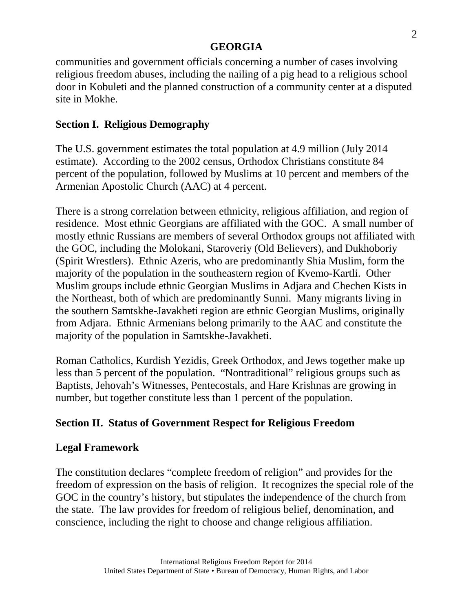communities and government officials concerning a number of cases involving religious freedom abuses, including the nailing of a pig head to a religious school door in Kobuleti and the planned construction of a community center at a disputed site in Mokhe.

# **Section I. Religious Demography**

The U.S. government estimates the total population at 4.9 million (July 2014 estimate). According to the 2002 census, Orthodox Christians constitute 84 percent of the population, followed by Muslims at 10 percent and members of the Armenian Apostolic Church (AAC) at 4 percent.

There is a strong correlation between ethnicity, religious affiliation, and region of residence. Most ethnic Georgians are affiliated with the GOC. A small number of mostly ethnic Russians are members of several Orthodox groups not affiliated with the GOC, including the Molokani, Staroveriy (Old Believers), and Dukhoboriy (Spirit Wrestlers). Ethnic Azeris, who are predominantly Shia Muslim, form the majority of the population in the southeastern region of Kvemo-Kartli. Other Muslim groups include ethnic Georgian Muslims in Adjara and Chechen Kists in the Northeast, both of which are predominantly Sunni. Many migrants living in the southern Samtskhe-Javakheti region are ethnic Georgian Muslims, originally from Adjara. Ethnic Armenians belong primarily to the AAC and constitute the majority of the population in Samtskhe-Javakheti.

Roman Catholics, Kurdish Yezidis, Greek Orthodox, and Jews together make up less than 5 percent of the population. "Nontraditional" religious groups such as Baptists, Jehovah's Witnesses, Pentecostals, and Hare Krishnas are growing in number, but together constitute less than 1 percent of the population.

# **Section II. Status of Government Respect for Religious Freedom**

# **Legal Framework**

The constitution declares "complete freedom of religion" and provides for the freedom of expression on the basis of religion. It recognizes the special role of the GOC in the country's history, but stipulates the independence of the church from the state. The law provides for freedom of religious belief, denomination, and conscience, including the right to choose and change religious affiliation.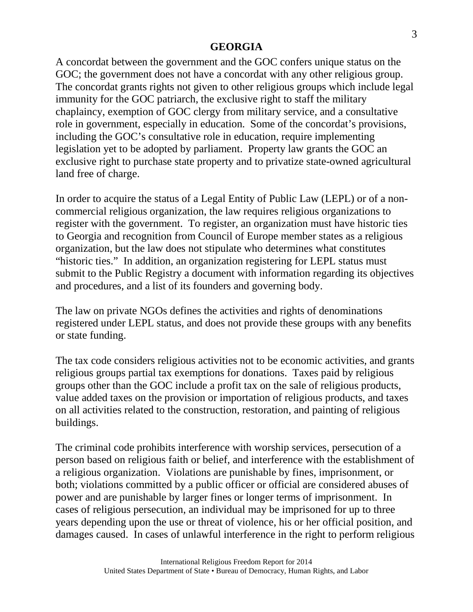A concordat between the government and the GOC confers unique status on the GOC; the government does not have a concordat with any other religious group. The concordat grants rights not given to other religious groups which include legal immunity for the GOC patriarch, the exclusive right to staff the military chaplaincy, exemption of GOC clergy from military service, and a consultative role in government, especially in education. Some of the concordat's provisions, including the GOC's consultative role in education, require implementing legislation yet to be adopted by parliament. Property law grants the GOC an exclusive right to purchase state property and to privatize state-owned agricultural land free of charge.

In order to acquire the status of a Legal Entity of Public Law (LEPL) or of a noncommercial religious organization, the law requires religious organizations to register with the government. To register, an organization must have historic ties to Georgia and recognition from Council of Europe member states as a religious organization, but the law does not stipulate who determines what constitutes "historic ties." In addition, an organization registering for LEPL status must submit to the Public Registry a document with information regarding its objectives and procedures, and a list of its founders and governing body.

The law on private NGOs defines the activities and rights of denominations registered under LEPL status, and does not provide these groups with any benefits or state funding.

The tax code considers religious activities not to be economic activities, and grants religious groups partial tax exemptions for donations. Taxes paid by religious groups other than the GOC include a profit tax on the sale of religious products, value added taxes on the provision or importation of religious products, and taxes on all activities related to the construction, restoration, and painting of religious buildings.

The criminal code prohibits interference with worship services, persecution of a person based on religious faith or belief, and interference with the establishment of a religious organization. Violations are punishable by fines, imprisonment, or both; violations committed by a public officer or official are considered abuses of power and are punishable by larger fines or longer terms of imprisonment. In cases of religious persecution, an individual may be imprisoned for up to three years depending upon the use or threat of violence, his or her official position, and damages caused. In cases of unlawful interference in the right to perform religious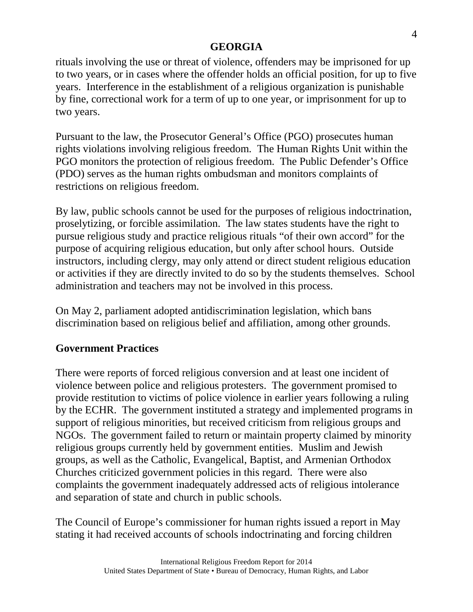rituals involving the use or threat of violence, offenders may be imprisoned for up to two years, or in cases where the offender holds an official position, for up to five years. Interference in the establishment of a religious organization is punishable by fine, correctional work for a term of up to one year, or imprisonment for up to two years.

Pursuant to the law, the Prosecutor General's Office (PGO) prosecutes human rights violations involving religious freedom. The Human Rights Unit within the PGO monitors the protection of religious freedom. The Public Defender's Office (PDO) serves as the human rights ombudsman and monitors complaints of restrictions on religious freedom.

By law, public schools cannot be used for the purposes of religious indoctrination, proselytizing, or forcible assimilation. The law states students have the right to pursue religious study and practice religious rituals "of their own accord" for the purpose of acquiring religious education, but only after school hours. Outside instructors, including clergy, may only attend or direct student religious education or activities if they are directly invited to do so by the students themselves. School administration and teachers may not be involved in this process.

On May 2, parliament adopted antidiscrimination legislation, which bans discrimination based on religious belief and affiliation, among other grounds.

### **Government Practices**

There were reports of forced religious conversion and at least one incident of violence between police and religious protesters. The government promised to provide restitution to victims of police violence in earlier years following a ruling by the ECHR. The government instituted a strategy and implemented programs in support of religious minorities, but received criticism from religious groups and NGOs. The government failed to return or maintain property claimed by minority religious groups currently held by government entities. Muslim and Jewish groups, as well as the Catholic, Evangelical, Baptist, and Armenian Orthodox Churches criticized government policies in this regard. There were also complaints the government inadequately addressed acts of religious intolerance and separation of state and church in public schools.

The Council of Europe's commissioner for human rights issued a report in May stating it had received accounts of schools indoctrinating and forcing children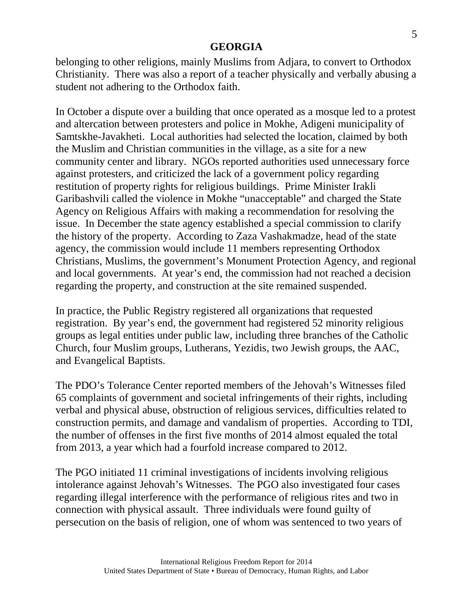belonging to other religions, mainly Muslims from Adjara, to convert to Orthodox Christianity. There was also a report of a teacher physically and verbally abusing a student not adhering to the Orthodox faith.

In October a dispute over a building that once operated as a mosque led to a protest and altercation between protesters and police in Mokhe, Adigeni municipality of Samtskhe-Javakheti. Local authorities had selected the location, claimed by both the Muslim and Christian communities in the village, as a site for a new community center and library. NGOs reported authorities used unnecessary force against protesters, and criticized the lack of a government policy regarding restitution of property rights for religious buildings. Prime Minister Irakli Garibashvili called the violence in Mokhe "unacceptable" and charged the State Agency on Religious Affairs with making a recommendation for resolving the issue. In December the state agency established a special commission to clarify the history of the property. According to Zaza Vashakmadze, head of the state agency, the commission would include 11 members representing Orthodox Christians, Muslims, the government's Monument Protection Agency, and regional and local governments. At year's end, the commission had not reached a decision regarding the property, and construction at the site remained suspended.

In practice, the Public Registry registered all organizations that requested registration. By year's end, the government had registered 52 minority religious groups as legal entities under public law, including three branches of the Catholic Church, four Muslim groups, Lutherans, Yezidis, two Jewish groups, the AAC, and Evangelical Baptists.

The PDO's Tolerance Center reported members of the Jehovah's Witnesses filed 65 complaints of government and societal infringements of their rights, including verbal and physical abuse, obstruction of religious services, difficulties related to construction permits, and damage and vandalism of properties. According to TDI, the number of offenses in the first five months of 2014 almost equaled the total from 2013, a year which had a fourfold increase compared to 2012.

The PGO initiated 11 criminal investigations of incidents involving religious intolerance against Jehovah's Witnesses. The PGO also investigated four cases regarding illegal interference with the performance of religious rites and two in connection with physical assault. Three individuals were found guilty of persecution on the basis of religion, one of whom was sentenced to two years of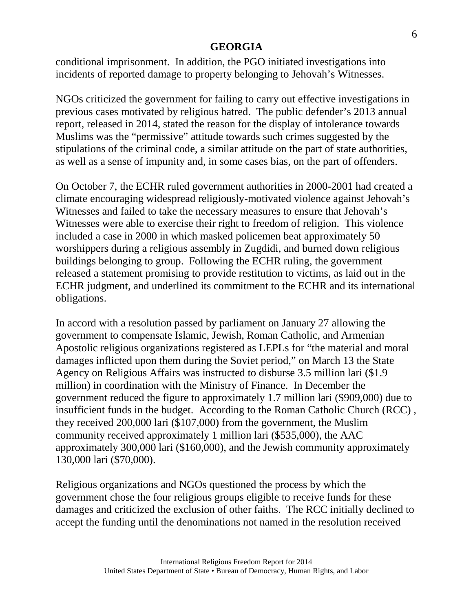conditional imprisonment. In addition, the PGO initiated investigations into incidents of reported damage to property belonging to Jehovah's Witnesses.

NGOs criticized the government for failing to carry out effective investigations in previous cases motivated by religious hatred. The public defender's 2013 annual report, released in 2014, stated the reason for the display of intolerance towards Muslims was the "permissive" attitude towards such crimes suggested by the stipulations of the criminal code, a similar attitude on the part of state authorities, as well as a sense of impunity and, in some cases bias, on the part of offenders.

On October 7, the ECHR ruled government authorities in 2000-2001 had created a climate encouraging widespread religiously-motivated violence against Jehovah's Witnesses and failed to take the necessary measures to ensure that Jehovah's Witnesses were able to exercise their right to freedom of religion. This violence included a case in 2000 in which masked policemen beat approximately 50 worshippers during a religious assembly in Zugdidi, and burned down religious buildings belonging to group. Following the ECHR ruling, the government released a statement promising to provide restitution to victims, as laid out in the ECHR judgment, and underlined its commitment to the ECHR and its international obligations.

In accord with a resolution passed by parliament on January 27 allowing the government to compensate Islamic, Jewish, Roman Catholic, and Armenian Apostolic religious organizations registered as LEPLs for "the material and moral damages inflicted upon them during the Soviet period," on March 13 the State Agency on Religious Affairs was instructed to disburse 3.5 million lari (\$1.9 million) in coordination with the Ministry of Finance. In December the government reduced the figure to approximately 1.7 million lari (\$909,000) due to insufficient funds in the budget. According to the Roman Catholic Church (RCC) , they received 200,000 lari (\$107,000) from the government, the Muslim community received approximately 1 million lari (\$535,000), the AAC approximately 300,000 lari (\$160,000), and the Jewish community approximately 130,000 lari (\$70,000).

Religious organizations and NGOs questioned the process by which the government chose the four religious groups eligible to receive funds for these damages and criticized the exclusion of other faiths. The RCC initially declined to accept the funding until the denominations not named in the resolution received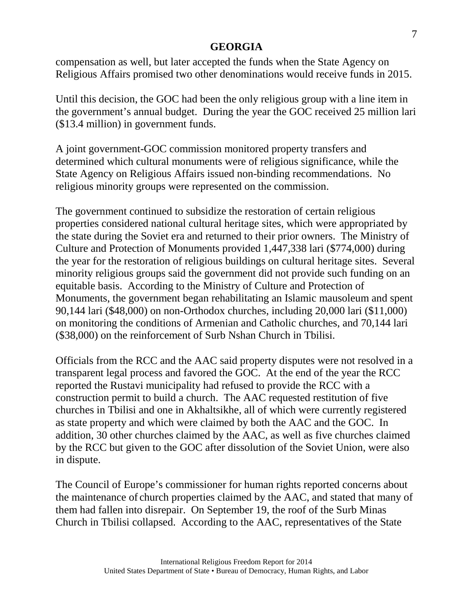compensation as well, but later accepted the funds when the State Agency on Religious Affairs promised two other denominations would receive funds in 2015.

Until this decision, the GOC had been the only religious group with a line item in the government's annual budget. During the year the GOC received 25 million lari (\$13.4 million) in government funds.

A joint government-GOC commission monitored property transfers and determined which cultural monuments were of religious significance, while the State Agency on Religious Affairs issued non-binding recommendations. No religious minority groups were represented on the commission.

The government continued to subsidize the restoration of certain religious properties considered national cultural heritage sites, which were appropriated by the state during the Soviet era and returned to their prior owners. The Ministry of Culture and Protection of Monuments provided 1,447,338 lari (\$774,000) during the year for the restoration of religious buildings on cultural heritage sites. Several minority religious groups said the government did not provide such funding on an equitable basis. According to the Ministry of Culture and Protection of Monuments, the government began rehabilitating an Islamic mausoleum and spent 90,144 lari (\$48,000) on non-Orthodox churches, including 20,000 lari (\$11,000) on monitoring the conditions of Armenian and Catholic churches, and 70,144 lari (\$38,000) on the reinforcement of Surb Nshan Church in Tbilisi.

Officials from the RCC and the AAC said property disputes were not resolved in a transparent legal process and favored the GOC. At the end of the year the RCC reported the Rustavi municipality had refused to provide the RCC with a construction permit to build a church. The AAC requested restitution of five churches in Tbilisi and one in Akhaltsikhe, all of which were currently registered as state property and which were claimed by both the AAC and the GOC. In addition, 30 other churches claimed by the AAC, as well as five churches claimed by the RCC but given to the GOC after dissolution of the Soviet Union, were also in dispute.

The Council of Europe's commissioner for human rights reported concerns about the maintenance of church properties claimed by the AAC, and stated that many of them had fallen into disrepair. On September 19, the roof of the Surb Minas Church in Tbilisi collapsed. According to the AAC, representatives of the State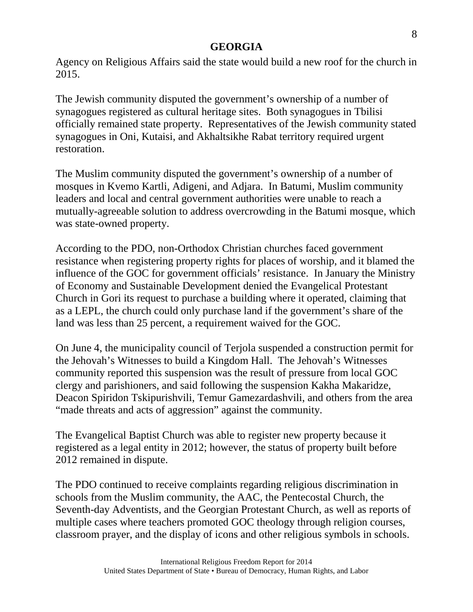Agency on Religious Affairs said the state would build a new roof for the church in 2015.

The Jewish community disputed the government's ownership of a number of synagogues registered as cultural heritage sites. Both synagogues in Tbilisi officially remained state property. Representatives of the Jewish community stated synagogues in Oni, Kutaisi, and Akhaltsikhe Rabat territory required urgent restoration.

The Muslim community disputed the government's ownership of a number of mosques in Kvemo Kartli, Adigeni, and Adjara. In Batumi, Muslim community leaders and local and central government authorities were unable to reach a mutually-agreeable solution to address overcrowding in the Batumi mosque, which was state-owned property.

According to the PDO, non-Orthodox Christian churches faced government resistance when registering property rights for places of worship, and it blamed the influence of the GOC for government officials' resistance. In January the Ministry of Economy and Sustainable Development denied the Evangelical Protestant Church in Gori its request to purchase a building where it operated, claiming that as a LEPL, the church could only purchase land if the government's share of the land was less than 25 percent, a requirement waived for the GOC.

On June 4, the municipality council of Terjola suspended a construction permit for the Jehovah's Witnesses to build a Kingdom Hall. The Jehovah's Witnesses community reported this suspension was the result of pressure from local GOC clergy and parishioners, and said following the suspension Kakha Makaridze, Deacon Spiridon Tskipurishvili, Temur Gamezardashvili, and others from the area "made threats and acts of aggression" against the community.

The Evangelical Baptist Church was able to register new property because it registered as a legal entity in 2012; however, the status of property built before 2012 remained in dispute.

The PDO continued to receive complaints regarding religious discrimination in schools from the Muslim community, the AAC, the Pentecostal Church, the Seventh-day Adventists, and the Georgian Protestant Church, as well as reports of multiple cases where teachers promoted GOC theology through religion courses, classroom prayer, and the display of icons and other religious symbols in schools.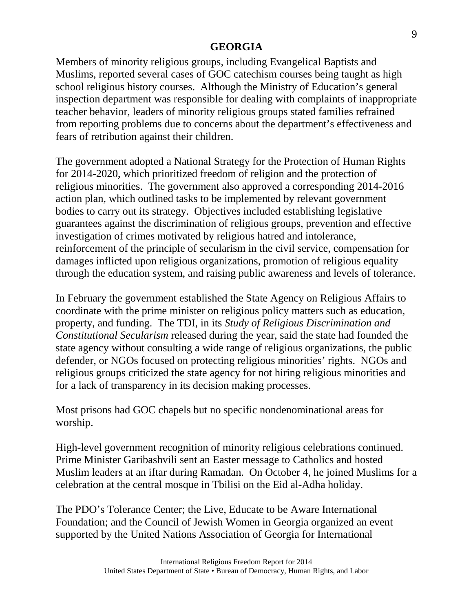Members of minority religious groups, including Evangelical Baptists and Muslims, reported several cases of GOC catechism courses being taught as high school religious history courses. Although the Ministry of Education's general inspection department was responsible for dealing with complaints of inappropriate teacher behavior, leaders of minority religious groups stated families refrained from reporting problems due to concerns about the department's effectiveness and fears of retribution against their children.

The government adopted a National Strategy for the Protection of Human Rights for 2014-2020, which prioritized freedom of religion and the protection of religious minorities. The government also approved a corresponding 2014-2016 action plan, which outlined tasks to be implemented by relevant government bodies to carry out its strategy. Objectives included establishing legislative guarantees against the discrimination of religious groups, prevention and effective investigation of crimes motivated by religious hatred and intolerance, reinforcement of the principle of secularism in the civil service, compensation for damages inflicted upon religious organizations, promotion of religious equality through the education system, and raising public awareness and levels of tolerance.

In February the government established the State Agency on Religious Affairs to coordinate with the prime minister on religious policy matters such as education, property, and funding. The TDI, in its *Study of Religious Discrimination and Constitutional Secularism* released during the year, said the state had founded the state agency without consulting a wide range of religious organizations, the public defender, or NGOs focused on protecting religious minorities' rights. NGOs and religious groups criticized the state agency for not hiring religious minorities and for a lack of transparency in its decision making processes.

Most prisons had GOC chapels but no specific nondenominational areas for worship.

High-level government recognition of minority religious celebrations continued. Prime Minister Garibashvili sent an Easter message to Catholics and hosted Muslim leaders at an iftar during Ramadan. On October 4, he joined Muslims for a celebration at the central mosque in Tbilisi on the Eid al-Adha holiday.

The PDO's Tolerance Center; the Live, Educate to be Aware International Foundation; and the Council of Jewish Women in Georgia organized an event supported by the United Nations Association of Georgia for International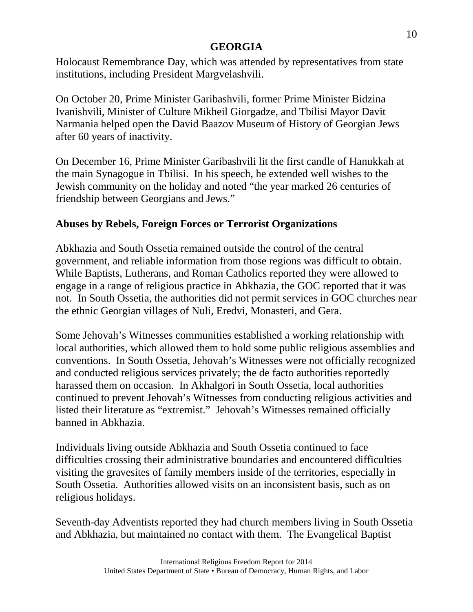Holocaust Remembrance Day, which was attended by representatives from state institutions, including President Margvelashvili.

On October 20, Prime Minister Garibashvili, former Prime Minister Bidzina Ivanishvili, Minister of Culture Mikheil Giorgadze, and Tbilisi Mayor Davit Narmania helped open the David Baazov Museum of History of Georgian Jews after 60 years of inactivity.

On December 16, Prime Minister Garibashvili lit the first candle of Hanukkah at the main Synagogue in Tbilisi. In his speech, he extended well wishes to the Jewish community on the holiday and noted "the year marked 26 centuries of friendship between Georgians and Jews."

### **Abuses by Rebels, Foreign Forces or Terrorist Organizations**

Abkhazia and South Ossetia remained outside the control of the central government, and reliable information from those regions was difficult to obtain. While Baptists, Lutherans, and Roman Catholics reported they were allowed to engage in a range of religious practice in Abkhazia, the GOC reported that it was not. In South Ossetia, the authorities did not permit services in GOC churches near the ethnic Georgian villages of Nuli, Eredvi, Monasteri, and Gera.

Some Jehovah's Witnesses communities established a working relationship with local authorities, which allowed them to hold some public religious assemblies and conventions. In South Ossetia, Jehovah's Witnesses were not officially recognized and conducted religious services privately; the de facto authorities reportedly harassed them on occasion. In Akhalgori in South Ossetia, local authorities continued to prevent Jehovah's Witnesses from conducting religious activities and listed their literature as "extremist." Jehovah's Witnesses remained officially banned in Abkhazia.

Individuals living outside Abkhazia and South Ossetia continued to face difficulties crossing their administrative boundaries and encountered difficulties visiting the gravesites of family members inside of the territories, especially in South Ossetia. Authorities allowed visits on an inconsistent basis, such as on religious holidays.

Seventh-day Adventists reported they had church members living in South Ossetia and Abkhazia, but maintained no contact with them. The Evangelical Baptist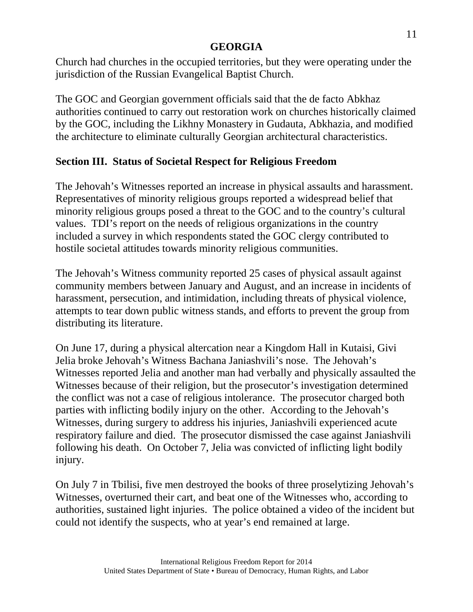Church had churches in the occupied territories, but they were operating under the jurisdiction of the Russian Evangelical Baptist Church.

The GOC and Georgian government officials said that the de facto Abkhaz authorities continued to carry out restoration work on churches historically claimed by the GOC, including the Likhny Monastery in Gudauta, Abkhazia, and modified the architecture to eliminate culturally Georgian architectural characteristics.

### **Section III. Status of Societal Respect for Religious Freedom**

The Jehovah's Witnesses reported an increase in physical assaults and harassment. Representatives of minority religious groups reported a widespread belief that minority religious groups posed a threat to the GOC and to the country's cultural values. TDI's report on the needs of religious organizations in the country included a survey in which respondents stated the GOC clergy contributed to hostile societal attitudes towards minority religious communities.

The Jehovah's Witness community reported 25 cases of physical assault against community members between January and August, and an increase in incidents of harassment, persecution, and intimidation, including threats of physical violence, attempts to tear down public witness stands, and efforts to prevent the group from distributing its literature.

On June 17, during a physical altercation near a Kingdom Hall in Kutaisi, Givi Jelia broke Jehovah's Witness Bachana Janiashvili's nose. The Jehovah's Witnesses reported Jelia and another man had verbally and physically assaulted the Witnesses because of their religion, but the prosecutor's investigation determined the conflict was not a case of religious intolerance. The prosecutor charged both parties with inflicting bodily injury on the other. According to the Jehovah's Witnesses, during surgery to address his injuries, Janiashvili experienced acute respiratory failure and died. The prosecutor dismissed the case against Janiashvili following his death. On October 7, Jelia was convicted of inflicting light bodily injury.

On July 7 in Tbilisi, five men destroyed the books of three proselytizing Jehovah's Witnesses, overturned their cart, and beat one of the Witnesses who, according to authorities, sustained light injuries. The police obtained a video of the incident but could not identify the suspects, who at year's end remained at large.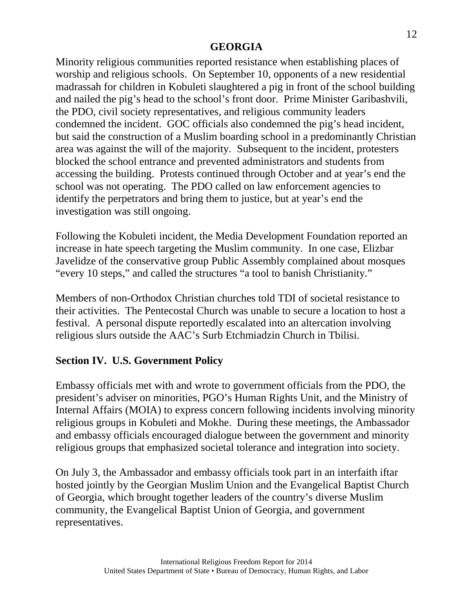Minority religious communities reported resistance when establishing places of worship and religious schools. On September 10, opponents of a new residential madrassah for children in Kobuleti slaughtered a pig in front of the school building and nailed the pig's head to the school's front door. Prime Minister Garibashvili, the PDO, civil society representatives, and religious community leaders condemned the incident. GOC officials also condemned the pig's head incident, but said the construction of a Muslim boarding school in a predominantly Christian area was against the will of the majority. Subsequent to the incident, protesters blocked the school entrance and prevented administrators and students from accessing the building. Protests continued through October and at year's end the school was not operating. The PDO called on law enforcement agencies to identify the perpetrators and bring them to justice, but at year's end the investigation was still ongoing.

Following the Kobuleti incident, the Media Development Foundation reported an increase in hate speech targeting the Muslim community. In one case, Elizbar Javelidze of the conservative group Public Assembly complained about mosques "every 10 steps," and called the structures "a tool to banish Christianity."

Members of non-Orthodox Christian churches told TDI of societal resistance to their activities. The Pentecostal Church was unable to secure a location to host a festival. A personal dispute reportedly escalated into an altercation involving religious slurs outside the AAC's Surb Etchmiadzin Church in Tbilisi.

# **Section IV. U.S. Government Policy**

Embassy officials met with and wrote to government officials from the PDO, the president's adviser on minorities, PGO's Human Rights Unit, and the Ministry of Internal Affairs (MOIA) to express concern following incidents involving minority religious groups in Kobuleti and Mokhe. During these meetings, the Ambassador and embassy officials encouraged dialogue between the government and minority religious groups that emphasized societal tolerance and integration into society.

On July 3, the Ambassador and embassy officials took part in an interfaith iftar hosted jointly by the Georgian Muslim Union and the Evangelical Baptist Church of Georgia, which brought together leaders of the country's diverse Muslim community, the Evangelical Baptist Union of Georgia, and government representatives.